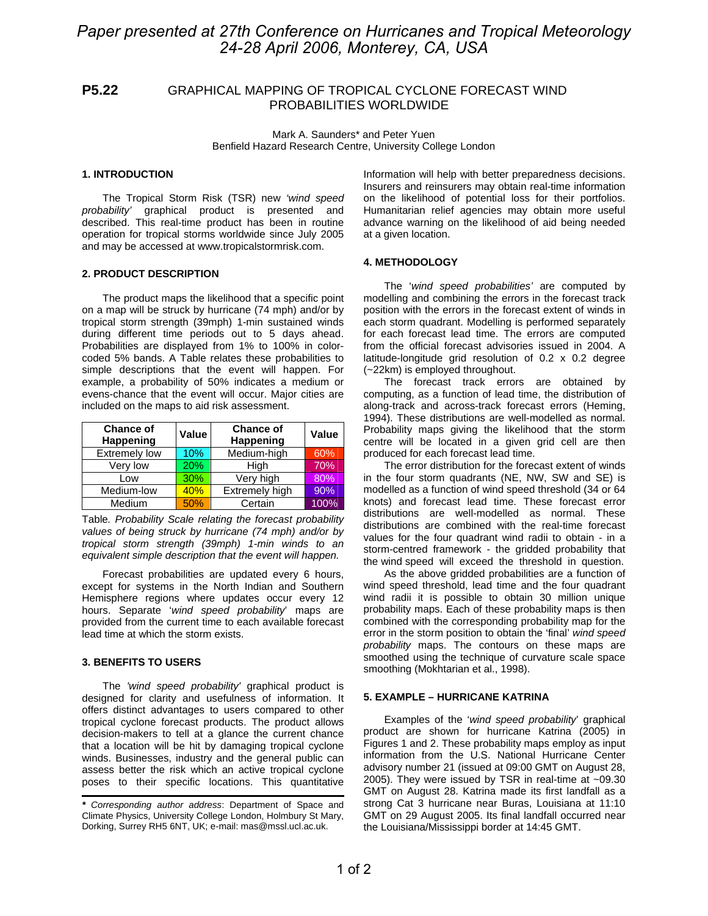# *Paper presented at 27th Conference on Hurricanes and Tropical Meteorology 24-28 April 2006, Monterey, CA, USA*

## **P5.22** GRAPHICAL MAPPING OF TROPICAL CYCLONE FORECAST WIND PROBABILITIES WORLDWIDE

Mark A. Saunders\* and Peter Yuen Benfield Hazard Research Centre, University College London

## **1. INTRODUCTION**

The Tropical Storm Risk (TSR) new *'wind speed probability'* graphical product is presented and described. This real-time product has been in routine operation for tropical storms worldwide since July 2005 and may be accessed at www.tropicalstormrisk.com.

## **2. PRODUCT DESCRIPTION**

The product maps the likelihood that a specific point on a map will be struck by hurricane (74 mph) and/or by tropical storm strength (39mph) 1-min sustained winds during different time periods out to 5 days ahead. Probabilities are displayed from 1% to 100% in colorcoded 5% bands. A Table relates these probabilities to simple descriptions that the event will happen. For example, a probability of 50% indicates a medium or evens-chance that the event will occur. Major cities are included on the maps to aid risk assessment.

| <b>Chance of</b><br>Happening | Value | <b>Chance of</b><br>Happening | <b>Value</b> |
|-------------------------------|-------|-------------------------------|--------------|
| <b>Extremely low</b>          | 10%   | Medium-high                   | 60%          |
| Very low                      | 20%   | High                          | 70%          |
| Low                           | 30%   | Very high                     | 80%          |
| Medium-low                    | 40%   | Extremely high                | 90%          |
| Medium                        | 50%   | Certain                       | 100%         |

Table*. Probability Scale relating the forecast probability values of being struck by hurricane (74 mph) and/or by tropical storm strength (39mph) 1-min winds to an equivalent simple description that the event will happen.* 

Forecast probabilities are updated every 6 hours, except for systems in the North Indian and Southern Hemisphere regions where updates occur every 12 hours. Separate '*wind speed probability*' maps are provided from the current time to each available forecast lead time at which the storm exists.

## **3. BENEFITS TO USERS**

The *'wind speed probability'* graphical product is designed for clarity and usefulness of information. It offers distinct advantages to users compared to other tropical cyclone forecast products. The product allows decision-makers to tell at a glance the current chance that a location will be hit by damaging tropical cyclone winds. Businesses, industry and the general public can assess better the risk which an active tropical cyclone poses to their specific locations. This quantitative

Information will help with better preparedness decisions. Insurers and reinsurers may obtain real-time information on the likelihood of potential loss for their portfolios. Humanitarian relief agencies may obtain more useful advance warning on the likelihood of aid being needed at a given location.

### **4. METHODOLOGY**

The '*wind speed probabilities'* are computed by modelling and combining the errors in the forecast track position with the errors in the forecast extent of winds in each storm quadrant. Modelling is performed separately for each forecast lead time. The errors are computed from the official forecast advisories issued in 2004. A latitude-longitude grid resolution of 0.2 x 0.2 degree (~22km) is employed throughout.

The forecast track errors are obtained by computing, as a function of lead time, the distribution of along-track and across-track forecast errors (Heming, 1994). These distributions are well-modelled as normal. Probability maps giving the likelihood that the storm centre will be located in a given grid cell are then produced for each forecast lead time.

The error distribution for the forecast extent of winds in the four storm quadrants (NE, NW, SW and SE) is modelled as a function of wind speed threshold (34 or 64 knots) and forecast lead time. These forecast error distributions are well-modelled as normal. These distributions are combined with the real-time forecast values for the four quadrant wind radii to obtain - in a storm-centred framework - the gridded probability that the wind speed will exceed the threshold in question.

As the above gridded probabilities are a function of wind speed threshold, lead time and the four quadrant wind radii it is possible to obtain 30 million unique probability maps. Each of these probability maps is then combined with the corresponding probability map for the error in the storm position to obtain the 'final' *wind speed probability* maps. The contours on these maps are smoothed using the technique of curvature scale space smoothing (Mokhtarian et al., 1998).

## **5. EXAMPLE – HURRICANE KATRINA**

Examples of the '*wind speed probability*' graphical product are shown for hurricane Katrina (2005) in Figures 1 and 2. These probability maps employ as input information from the U.S. National Hurricane Center advisory number 21 (issued at 09:00 GMT on August 28, 2005). They were issued by TSR in real-time at ~09.30 GMT on August 28. Katrina made its first landfall as a strong Cat 3 hurricane near Buras, Louisiana at 11:10 GMT on 29 August 2005. Its final landfall occurred near the Louisiana/Mississippi border at 14:45 GMT.

*<sup>\*</sup> Corresponding author address*: Department of Space and Climate Physics, University College London, Holmbury St Mary, Dorking, Surrey RH5 6NT, UK; e-mail: mas@mssl.ucl.ac.uk.